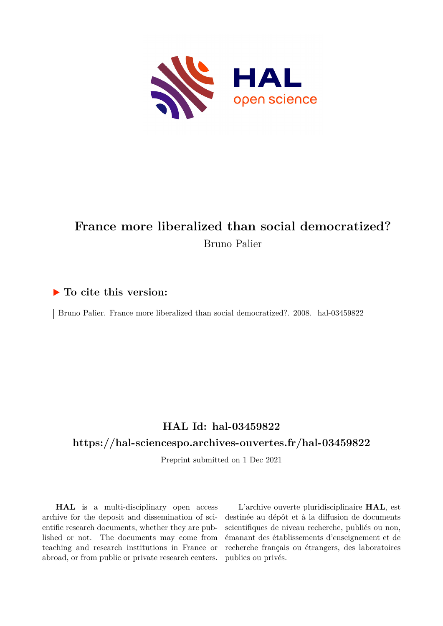

# **France more liberalized than social democratized?** Bruno Palier

## **To cite this version:**

 $\vert$  Bruno Palier. France more liberalized than social democratized?. 2008. hal-03459822

# **HAL Id: hal-03459822**

### **<https://hal-sciencespo.archives-ouvertes.fr/hal-03459822>**

Preprint submitted on 1 Dec 2021

**HAL** is a multi-disciplinary open access archive for the deposit and dissemination of scientific research documents, whether they are published or not. The documents may come from teaching and research institutions in France or abroad, or from public or private research centers.

L'archive ouverte pluridisciplinaire **HAL**, est destinée au dépôt et à la diffusion de documents scientifiques de niveau recherche, publiés ou non, émanant des établissements d'enseignement et de recherche français ou étrangers, des laboratoires publics ou privés.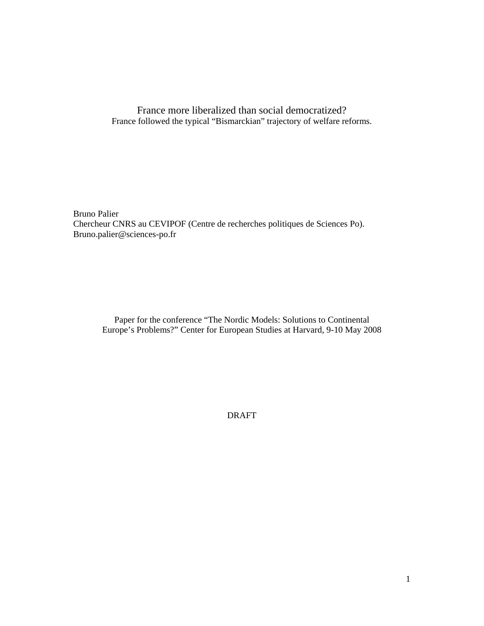### France more liberalized than social democratized? France followed the typical "Bismarckian" trajectory of welfare reforms.

Bruno Palier Chercheur CNRS au CEVIPOF (Centre de recherches politiques de Sciences Po). Bruno.palier@sciences-po.fr

Paper for the conference "The Nordic Models: Solutions to Continental Europe's Problems?" Center for European Studies at Harvard, 9-10 May 2008

DRAFT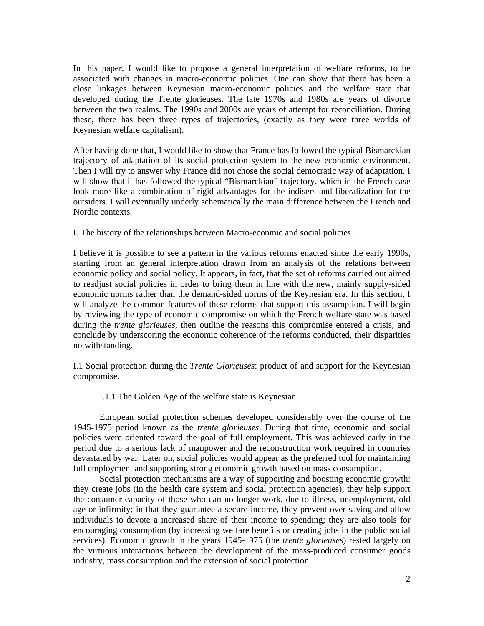In this paper, I would like to propose a general interpretation of welfare reforms, to be associated with changes in macro-economic policies. One can show that there has been a close linkages between Keynesian macro-economic policies and the welfare state that developed during the Trente glorieuses. The late 1970s and 1980s are years of divorce between the two realms. The 1990s and 2000s are years of attempt for reconciliation. During these, there has been three types of trajectories, (exactly as they were three worlds of Keynesian welfare capitalism).

After having done that, I would like to show that France has followed the typical Bismarckian trajectory of adaptation of its social protection system to the new economic environment. Then I will try to answer why France did not chose the social democratic way of adaptation. I will show that it has followed the typical "Bismarckian" trajectory, which in the French case look more like a combination of rigid advantages for the indisers and liberalization for the outsiders. I will eventually underly schematically the main difference between the French and Nordic contexts.

I. The history of the relationships between Macro-econmic and social policies.

I believe it is possible to see a pattern in the various reforms enacted since the early 1990s, starting from an general interpretation drawn from an analysis of the relations between economic policy and social policy. It appears, in fact, that the set of reforms carried out aimed to readjust social policies in order to bring them in line with the new, mainly supply-sided economic norms rather than the demand-sided norms of the Keynesian era. In this section, I will analyze the common features of these reforms that support this assumption. I will begin by reviewing the type of economic compromise on which the French welfare state was based during the *trente glorieuses*, then outline the reasons this compromise entered a crisis, and conclude by underscoring the economic coherence of the reforms conducted, their disparities notwithstanding.

I.1 Social protection during the *Trente Glorieuses*: product of and support for the Keynesian compromise.

I.1.1 The Golden Age of the welfare state is Keynesian.

European social protection schemes developed considerably over the course of the 1945-1975 period known as the *trente glorieuses*. During that time, economic and social policies were oriented toward the goal of full employment. This was achieved early in the period due to a serious lack of manpower and the reconstruction work required in countries devastated by war. Later on, social policies would appear as the preferred tool for maintaining full employment and supporting strong economic growth based on mass consumption.

Social protection mechanisms are a way of supporting and boosting economic growth: they create jobs (in the health care system and social protection agencies); they help support the consumer capacity of those who can no longer work, due to illness, unemployment, old age or infirmity; in that they guarantee a secure income, they prevent over-saving and allow individuals to devote a increased share of their income to spending; they are also tools for encouraging consumption (by increasing welfare benefits or creating jobs in the public social services). Economic growth in the years 1945-1975 (the *trente glorieuses*) rested largely on the virtuous interactions between the development of the mass-produced consumer goods industry, mass consumption and the extension of social protection.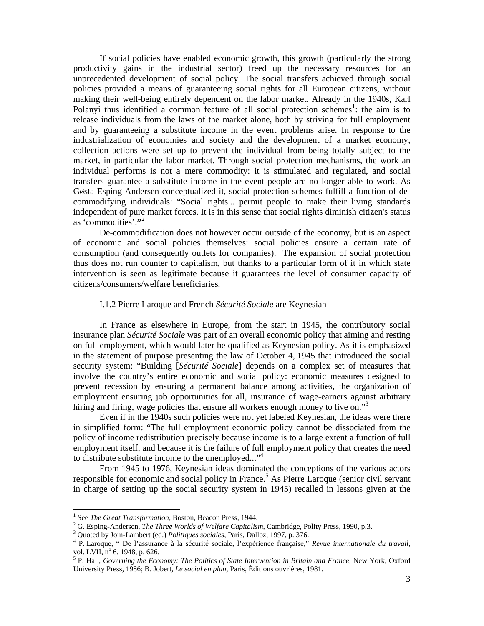If social policies have enabled economic growth, this growth (particularly the strong productivity gains in the industrial sector) freed up the necessary resources for an unprecedented development of social policy. The social transfers achieved through social policies provided a means of guaranteeing social rights for all European citizens, without making their well-being entirely dependent on the labor market. Already in the 1940s, Karl Polanyi thus identified a common feature of all social protection schemes<sup>1</sup>: the aim is to release individuals from the laws of the market alone, both by striving for full employment and by guaranteeing a substitute income in the event problems arise. In response to the industrialization of economies and society and the development of a market economy, collection actions were set up to prevent the individual from being totally subject to the market, in particular the labor market. Through social protection mechanisms, the work an individual performs is not a mere commodity: it is stimulated and regulated, and social transfers guarantee a substitute income in the event people are no longer able to work. As Gøsta Esping-Andersen conceptualized it, social protection schemes fulfill a function of decommodifying individuals: "Social rights... permit people to make their living standards independent of pure market forces. It is in this sense that social rights diminish citizen's status as 'commodities'.**"**<sup>2</sup>

De-commodification does not however occur outside of the economy, but is an aspect of economic and social policies themselves: social policies ensure a certain rate of consumption (and consequently outlets for companies). The expansion of social protection thus does not run counter to capitalism, but thanks to a particular form of it in which state intervention is seen as legitimate because it guarantees the level of consumer capacity of citizens/consumers/welfare beneficiaries*.*

#### I.1.2 Pierre Laroque and French *Sécurité Sociale* are Keynesian

In France as elsewhere in Europe, from the start in 1945, the contributory social insurance plan *Sécurité Sociale* was part of an overall economic policy that aiming and resting on full employment, which would later be qualified as Keynesian policy. As it is emphasized in the statement of purpose presenting the law of October 4, 1945 that introduced the social security system: "Building [*Sécurité Sociale*] depends on a complex set of measures that involve the country's entire economic and social policy: economic measures designed to prevent recession by ensuring a permanent balance among activities, the organization of employment ensuring job opportunities for all, insurance of wage-earners against arbitrary hiring and firing, wage policies that ensure all workers enough money to live on."<sup>3</sup>

Even if in the 1940s such policies were not yet labeled Keynesian, the ideas were there in simplified form: "The full employment economic policy cannot be dissociated from the policy of income redistribution precisely because income is to a large extent a function of full employment itself, and because it is the failure of full employment policy that creates the need to distribute substitute income to the unemployed..."<sup>4</sup>

From 1945 to 1976, Keynesian ideas dominated the conceptions of the various actors responsible for economic and social policy in France.<sup>5</sup> As Pierre Laroque (senior civil servant in charge of setting up the social security system in 1945) recalled in lessons given at the

<sup>&</sup>lt;sup>1</sup> See *The Great Transformation*, Boston, Beacon Press, 1944. <sup>1</sup> See *The Great Transformation*, Boston, Beacon Press, 1944.<br><sup>2</sup> G. Esping, Anderson, *The Three Worlds of Welfare Capitalist* 

<sup>&</sup>lt;sup>2</sup>G. Esping-Andersen, *The Three Worlds of Welfare Capitalism*, Cambridge, Polity Press, 1990, p.3. <sup>3</sup>Ouoted by Join Lambert (ed.) *Politiques sociales* Peris, Delloz, 1997, p. 376

Quoted by Join-Lambert (ed.) *Politiques sociales*, Paris, Dalloz, 1997, p. 376. 4

P. Laroque, " De l'assurance à la sécurité sociale, l'expérience française," *Revue internationale du travail,*  vol. LVII, n<sup>o</sup> 6, 1948, p. 626.

<sup>&</sup>lt;sup>5</sup> P. Hall, *Governing the Economy: The Politics of State Intervention in Britain and France*, New York, Oxford University Press, 1986; B. Jobert, *Le social en plan,* Paris, Éditions ouvrières, 1981.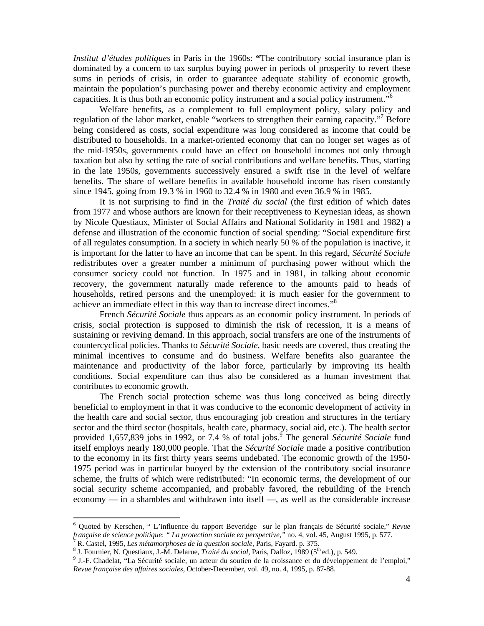*Institut d'études politiques* in Paris in the 1960s: **"**The contributory social insurance plan is dominated by a concern to tax surplus buying power in periods of prosperity to revert these sums in periods of crisis, in order to guarantee adequate stability of economic growth, maintain the population's purchasing power and thereby economic activity and employment capacities. It is thus both an economic policy instrument and a social policy instrument."6

Welfare benefits, as a complement to full employment policy, salary policy and regulation of the labor market, enable "workers to strengthen their earning capacity."<sup>7</sup> Before being considered as costs, social expenditure was long considered as income that could be distributed to households. In a market-oriented economy that can no longer set wages as of the mid-1950s, governments could have an effect on household incomes not only through taxation but also by setting the rate of social contributions and welfare benefits. Thus, starting in the late 1950s, governments successively ensured a swift rise in the level of welfare benefits. The share of welfare benefits in available household income has risen constantly since 1945, going from 19.3 % in 1960 to 32.4 % in 1980 and even 36.9 % in 1985.

It is not surprising to find in the *Traité du social* (the first edition of which dates from 1977 and whose authors are known for their receptiveness to Keynesian ideas, as shown by Nicole Questiaux, Minister of Social Affairs and National Solidarity in 1981 and 1982) a defense and illustration of the economic function of social spending: "Social expenditure first of all regulates consumption. In a society in which nearly 50 % of the population is inactive, it is important for the latter to have an income that can be spent. In this regard, *Sécurité Sociale* redistributes over a greater number a minimum of purchasing power without which the consumer society could not function. In 1975 and in 1981, in talking about economic recovery, the government naturally made reference to the amounts paid to heads of households, retired persons and the unemployed: it is much easier for the government to achieve an immediate effect in this way than to increase direct incomes."8

French *Sécurité Sociale* thus appears as an economic policy instrument. In periods of crisis, social protection is supposed to diminish the risk of recession, it is a means of sustaining or reviving demand. In this approach, social transfers are one of the instruments of countercyclical policies. Thanks to *Sécurité Sociale*, basic needs are covered, thus creating the minimal incentives to consume and do business. Welfare benefits also guarantee the maintenance and productivity of the labor force, particularly by improving its health conditions. Social expenditure can thus also be considered as a human investment that contributes to economic growth.

The French social protection scheme was thus long conceived as being directly beneficial to employment in that it was conducive to the economic development of activity in the health care and social sector, thus encouraging job creation and structures in the tertiary sector and the third sector (hospitals, health care, pharmacy, social aid, etc.). The health sector provided 1,657,839 jobs in 1992, or 7.4 % of total jobs.<sup>9</sup> The general *Sécurité Sociale* fund itself employs nearly 180,000 people. That the *Sécurité Sociale* made a positive contribution to the economy in its first thirty years seems undebated. The economic growth of the 1950- 1975 period was in particular buoyed by the extension of the contributory social insurance scheme, the fruits of which were redistributed: "In economic terms, the development of our social security scheme accompanied, and probably favored, the rebuilding of the French economy — in a shambles and withdrawn into itself —, as well as the considerable increase

<sup>6</sup> Quoted by Kerschen, " L'influence du rapport Beveridge sur le plan français de Sécurité sociale," *Revue française de science politique:* " La protection sociale en perspective," no. 4, vol. 45, August 1995, p. 577.

R. Castel, 1995, *Les métamorphoses de la question sociale*, Paris, Fayard. p. 375. 8

<sup>&</sup>lt;sup>8</sup> J. Fournier, N. Questiaux, J.-M. Delarue, *Traité du social*, Paris, Dalloz, 1989 (5<sup>th</sup> ed.), p. 549.

<sup>&</sup>lt;sup>9</sup> J.-F. Chadelat, "La Sécurité sociale, un acteur du soutien de la croissance et du développement de l'emploi," *Revue française des affaires sociales,* October-December, vol. 49, no. 4, 1995, p. 87-88.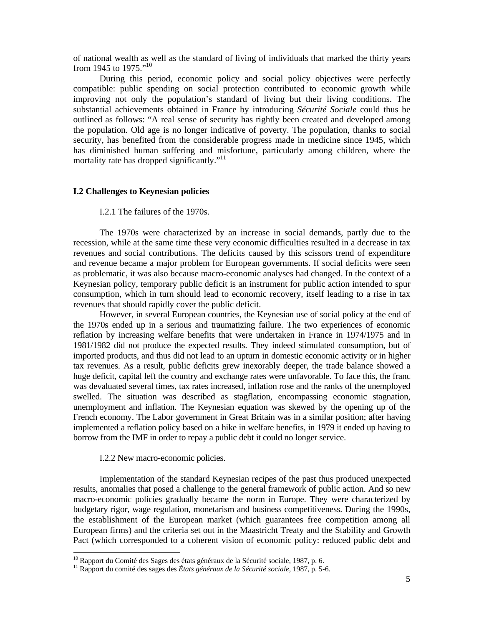of national wealth as well as the standard of living of individuals that marked the thirty years from 1945 to 1975."10

During this period, economic policy and social policy objectives were perfectly compatible: public spending on social protection contributed to economic growth while improving not only the population's standard of living but their living conditions. The substantial achievements obtained in France by introducing *Sécurité Sociale* could thus be outlined as follows: "A real sense of security has rightly been created and developed among the population. Old age is no longer indicative of poverty. The population, thanks to social security, has benefited from the considerable progress made in medicine since 1945, which has diminished human suffering and misfortune, particularly among children, where the mortality rate has dropped significantly."<sup>11</sup>

#### **I.2 Challenges to Keynesian policies**

#### I.2.1 The failures of the 1970s.

The 1970s were characterized by an increase in social demands, partly due to the recession, while at the same time these very economic difficulties resulted in a decrease in tax revenues and social contributions. The deficits caused by this scissors trend of expenditure and revenue became a major problem for European governments. If social deficits were seen as problematic, it was also because macro-economic analyses had changed. In the context of a Keynesian policy, temporary public deficit is an instrument for public action intended to spur consumption, which in turn should lead to economic recovery, itself leading to a rise in tax revenues that should rapidly cover the public deficit.

However, in several European countries, the Keynesian use of social policy at the end of the 1970s ended up in a serious and traumatizing failure. The two experiences of economic reflation by increasing welfare benefits that were undertaken in France in 1974/1975 and in 1981/1982 did not produce the expected results. They indeed stimulated consumption, but of imported products, and thus did not lead to an upturn in domestic economic activity or in higher tax revenues. As a result, public deficits grew inexorably deeper, the trade balance showed a huge deficit, capital left the country and exchange rates were unfavorable. To face this, the franc was devaluated several times, tax rates increased, inflation rose and the ranks of the unemployed swelled. The situation was described as stagflation, encompassing economic stagnation, unemployment and inflation. The Keynesian equation was skewed by the opening up of the French economy. The Labor government in Great Britain was in a similar position; after having implemented a reflation policy based on a hike in welfare benefits, in 1979 it ended up having to borrow from the IMF in order to repay a public debt it could no longer service.

#### I.2.2 New macro-economic policies.

 $\overline{\phantom{a}}$ 

Implementation of the standard Keynesian recipes of the past thus produced unexpected results, anomalies that posed a challenge to the general framework of public action. And so new macro-economic policies gradually became the norm in Europe. They were characterized by budgetary rigor, wage regulation, monetarism and business competitiveness. During the 1990s, the establishment of the European market (which guarantees free competition among all European firms) and the criteria set out in the Maastricht Treaty and the Stability and Growth Pact (which corresponded to a coherent vision of economic policy: reduced public debt and

<sup>&</sup>lt;sup>10</sup> Rapport du Comité des Sages des états généraux de la Sécurité sociale, 1987, p. 6.

<sup>&</sup>lt;sup>11</sup> Rapport du comité des sages des États généraux de la Sécurité sociale, 1987, p. 5-6.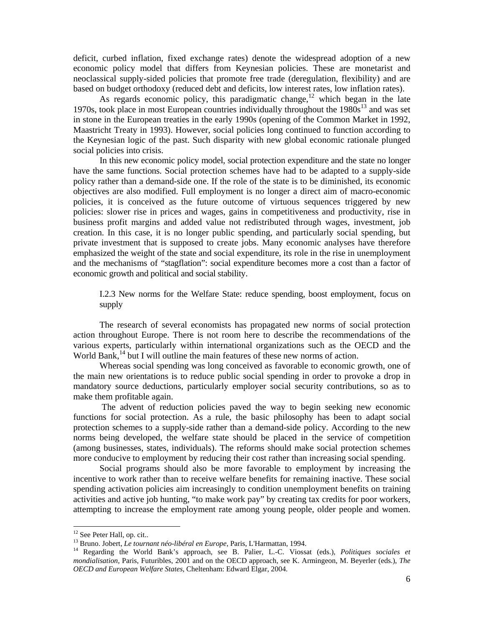deficit, curbed inflation, fixed exchange rates) denote the widespread adoption of a new economic policy model that differs from Keynesian policies. These are monetarist and neoclassical supply-sided policies that promote free trade (deregulation, flexibility) and are based on budget orthodoxy (reduced debt and deficits, low interest rates, low inflation rates).

As regards economic policy, this paradigmatic change,  $12$  which began in the late 1970s, took place in most European countries individually throughout the  $1980s^{13}$  and was set in stone in the European treaties in the early 1990s (opening of the Common Market in 1992, Maastricht Treaty in 1993). However, social policies long continued to function according to the Keynesian logic of the past. Such disparity with new global economic rationale plunged social policies into crisis.

In this new economic policy model, social protection expenditure and the state no longer have the same functions. Social protection schemes have had to be adapted to a supply-side policy rather than a demand-side one. If the role of the state is to be diminished, its economic objectives are also modified. Full employment is no longer a direct aim of macro-economic policies, it is conceived as the future outcome of virtuous sequences triggered by new policies: slower rise in prices and wages, gains in competitiveness and productivity, rise in business profit margins and added value not redistributed through wages, investment, job creation. In this case, it is no longer public spending, and particularly social spending, but private investment that is supposed to create jobs. Many economic analyses have therefore emphasized the weight of the state and social expenditure, its role in the rise in unemployment and the mechanisms of "stagflation": social expenditure becomes more a cost than a factor of economic growth and political and social stability.

I.2.3 New norms for the Welfare State: reduce spending, boost employment, focus on supply

The research of several economists has propagated new norms of social protection action throughout Europe. There is not room here to describe the recommendations of the various experts, particularly within international organizations such as the OECD and the World Bank, $^{14}$  but I will outline the main features of these new norms of action.

Whereas social spending was long conceived as favorable to economic growth, one of the main new orientations is to reduce public social spending in order to provoke a drop in mandatory source deductions, particularly employer social security contributions, so as to make them profitable again.

 The advent of reduction policies paved the way to begin seeking new economic functions for social protection. As a rule, the basic philosophy has been to adapt social protection schemes to a supply-side rather than a demand-side policy. According to the new norms being developed, the welfare state should be placed in the service of competition (among businesses, states, individuals). The reforms should make social protection schemes more conducive to employment by reducing their cost rather than increasing social spending.

Social programs should also be more favorable to employment by increasing the incentive to work rather than to receive welfare benefits for remaining inactive. These social spending activation policies aim increasingly to condition unemployment benefits on training activities and active job hunting, "to make work pay" by creating tax credits for poor workers, attempting to increase the employment rate among young people, older people and women.

<sup>&</sup>lt;sup>12</sup> See Peter Hall, op. cit..

<sup>&</sup>lt;sup>13</sup> Bruno. Jobert, *Le tournant néo-libéral en Europe*, Paris, L'Harmattan, 1994.<br><sup>14</sup> Regarding the World Bank's approach, see B. Palier, L.-C. Viossat (eds.), *Politiques sociales et mondialisation,* Paris, Futuribles, 2001 and on the OECD approach, see K. Armingeon, M. Beyerler (eds.), *The OECD and European Welfare States*, Cheltenham: Edward Elgar, 2004.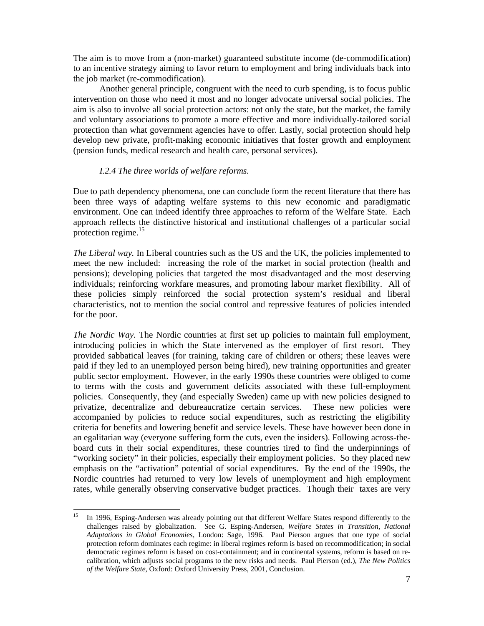The aim is to move from a (non-market) guaranteed substitute income (de-commodification) to an incentive strategy aiming to favor return to employment and bring individuals back into the job market (re-commodification).

Another general principle, congruent with the need to curb spending, is to focus public intervention on those who need it most and no longer advocate universal social policies. The aim is also to involve all social protection actors: not only the state, but the market, the family and voluntary associations to promote a more effective and more individually-tailored social protection than what government agencies have to offer. Lastly, social protection should help develop new private, profit-making economic initiatives that foster growth and employment (pension funds, medical research and health care, personal services).

#### *I.2.4 The three worlds of welfare reforms.*

 $\overline{a}$ 

Due to path dependency phenomena, one can conclude form the recent literature that there has been three ways of adapting welfare systems to this new economic and paradigmatic environment. One can indeed identify three approaches to reform of the Welfare State. Each approach reflects the distinctive historical and institutional challenges of a particular social protection regime. $^{15}$ 

*The Liberal way.* In Liberal countries such as the US and the UK, the policies implemented to meet the new included: increasing the role of the market in social protection (health and pensions); developing policies that targeted the most disadvantaged and the most deserving individuals; reinforcing workfare measures, and promoting labour market flexibility. All of these policies simply reinforced the social protection system's residual and liberal characteristics, not to mention the social control and repressive features of policies intended for the poor.

*The Nordic Way.* The Nordic countries at first set up policies to maintain full employment, introducing policies in which the State intervened as the employer of first resort. They provided sabbatical leaves (for training, taking care of children or others; these leaves were paid if they led to an unemployed person being hired), new training opportunities and greater public sector employment. However, in the early 1990s these countries were obliged to come to terms with the costs and government deficits associated with these full-employment policies. Consequently, they (and especially Sweden) came up with new policies designed to privatize, decentralize and debureaucratize certain services. These new policies were accompanied by policies to reduce social expenditures, such as restricting the eligibility criteria for benefits and lowering benefit and service levels. These have however been done in an egalitarian way (everyone suffering form the cuts, even the insiders). Following across-theboard cuts in their social expenditures, these countries tired to find the underpinnings of "working society" in their policies, especially their employment policies. So they placed new emphasis on the "activation" potential of social expenditures. By the end of the 1990s, the Nordic countries had returned to very low levels of unemployment and high employment rates, while generally observing conservative budget practices. Though their taxes are very

<sup>15</sup> In 1996, Esping-Andersen was already pointing out that different Welfare States respond differently to the challenges raised by globalization. See G. Esping-Andersen, *Welfare States in Transition, National Adaptations in Global Economies*, London: Sage, 1996. Paul Pierson argues that one type of social protection reform dominates each regime: in liberal regimes reform is based on recommodification; in social democratic regimes reform is based on cost-containment; and in continental systems, reform is based on recalibration, which adjusts social programs to the new risks and needs. Paul Pierson (ed.), *The New Politics of the Welfare State*, Oxford: Oxford University Press, 2001, Conclusion.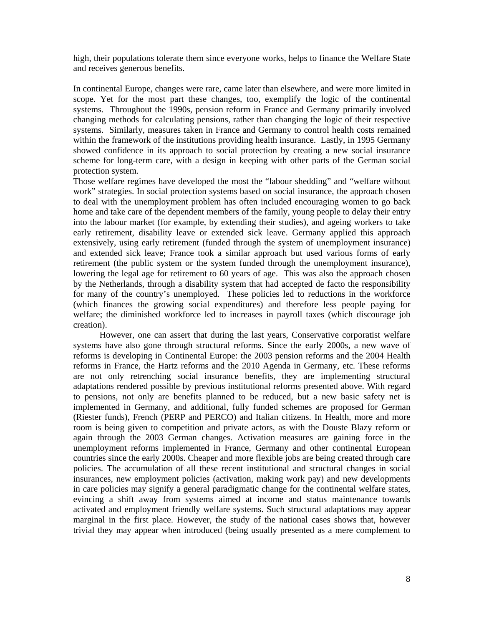high, their populations tolerate them since everyone works, helps to finance the Welfare State and receives generous benefits.

In continental Europe, changes were rare, came later than elsewhere, and were more limited in scope. Yet for the most part these changes, too, exemplify the logic of the continental systems. Throughout the 1990s, pension reform in France and Germany primarily involved changing methods for calculating pensions, rather than changing the logic of their respective systems. Similarly, measures taken in France and Germany to control health costs remained within the framework of the institutions providing health insurance. Lastly, in 1995 Germany showed confidence in its approach to social protection by creating a new social insurance scheme for long-term care, with a design in keeping with other parts of the German social protection system.

Those welfare regimes have developed the most the "labour shedding" and "welfare without work" strategies. In social protection systems based on social insurance, the approach chosen to deal with the unemployment problem has often included encouraging women to go back home and take care of the dependent members of the family, young people to delay their entry into the labour market (for example, by extending their studies), and ageing workers to take early retirement, disability leave or extended sick leave. Germany applied this approach extensively, using early retirement (funded through the system of unemployment insurance) and extended sick leave; France took a similar approach but used various forms of early retirement (the public system or the system funded through the unemployment insurance), lowering the legal age for retirement to 60 years of age. This was also the approach chosen by the Netherlands, through a disability system that had accepted de facto the responsibility for many of the country's unemployed. These policies led to reductions in the workforce (which finances the growing social expenditures) and therefore less people paying for welfare; the diminished workforce led to increases in payroll taxes (which discourage job creation).

However, one can assert that during the last years, Conservative corporatist welfare systems have also gone through structural reforms. Since the early 2000s, a new wave of reforms is developing in Continental Europe: the 2003 pension reforms and the 2004 Health reforms in France, the Hartz reforms and the 2010 Agenda in Germany, etc. These reforms are not only retrenching social insurance benefits, they are implementing structural adaptations rendered possible by previous institutional reforms presented above. With regard to pensions, not only are benefits planned to be reduced, but a new basic safety net is implemented in Germany, and additional, fully funded schemes are proposed for German (Riester funds), French (PERP and PERCO) and Italian citizens. In Health, more and more room is being given to competition and private actors, as with the Douste Blazy reform or again through the 2003 German changes. Activation measures are gaining force in the unemployment reforms implemented in France, Germany and other continental European countries since the early 2000s. Cheaper and more flexible jobs are being created through care policies. The accumulation of all these recent institutional and structural changes in social insurances, new employment policies (activation, making work pay) and new developments in care policies may signify a general paradigmatic change for the continental welfare states, evincing a shift away from systems aimed at income and status maintenance towards activated and employment friendly welfare systems. Such structural adaptations may appear marginal in the first place. However, the study of the national cases shows that, however trivial they may appear when introduced (being usually presented as a mere complement to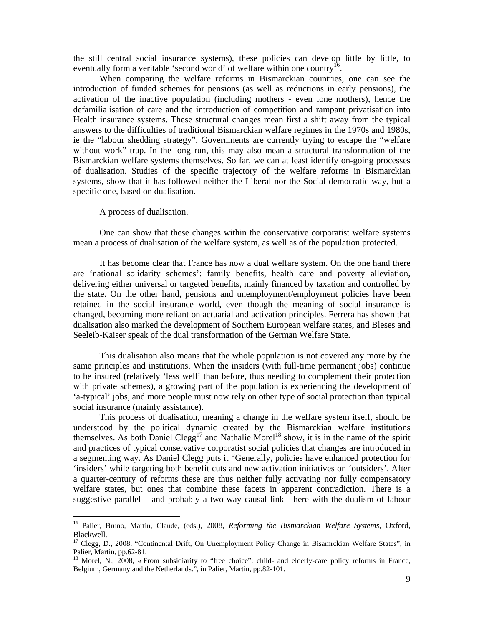the still central social insurance systems), these policies can develop little by little, to eventually form a veritable 'second world' of welfare within one country<sup>16</sup>.

When comparing the welfare reforms in Bismarckian countries, one can see the introduction of funded schemes for pensions (as well as reductions in early pensions), the activation of the inactive population (including mothers - even lone mothers), hence the defamilialisation of care and the introduction of competition and rampant privatisation into Health insurance systems. These structural changes mean first a shift away from the typical answers to the difficulties of traditional Bismarckian welfare regimes in the 1970s and 1980s, ie the "labour shedding strategy". Governments are currently trying to escape the "welfare without work" trap. In the long run, this may also mean a structural transformation of the Bismarckian welfare systems themselves. So far, we can at least identify on-going processes of dualisation. Studies of the specific trajectory of the welfare reforms in Bismarckian systems, show that it has followed neither the Liberal nor the Social democratic way, but a specific one, based on dualisation.

A process of dualisation.

 $\overline{\phantom{a}}$ 

One can show that these changes within the conservative corporatist welfare systems mean a process of dualisation of the welfare system, as well as of the population protected.

It has become clear that France has now a dual welfare system. On the one hand there are 'national solidarity schemes': family benefits, health care and poverty alleviation, delivering either universal or targeted benefits, mainly financed by taxation and controlled by the state. On the other hand, pensions and unemployment/employment policies have been retained in the social insurance world, even though the meaning of social insurance is changed, becoming more reliant on actuarial and activation principles. Ferrera has shown that dualisation also marked the development of Southern European welfare states, and Bleses and Seeleib-Kaiser speak of the dual transformation of the German Welfare State.

This dualisation also means that the whole population is not covered any more by the same principles and institutions. When the insiders (with full-time permanent jobs) continue to be insured (relatively 'less well' than before, thus needing to complement their protection with private schemes), a growing part of the population is experiencing the development of 'a-typical' jobs, and more people must now rely on other type of social protection than typical social insurance (mainly assistance).

This process of dualisation, meaning a change in the welfare system itself, should be understood by the political dynamic created by the Bismarckian welfare institutions themselves. As both Daniel Clegg<sup>17</sup> and Nathalie Morel<sup>18</sup> show, it is in the name of the spirit and practices of typical conservative corporatist social policies that changes are introduced in a segmenting way. As Daniel Clegg puts it "Generally, policies have enhanced protection for 'insiders' while targeting both benefit cuts and new activation initiatives on 'outsiders'. After a quarter-century of reforms these are thus neither fully activating nor fully compensatory welfare states, but ones that combine these facets in apparent contradiction. There is a suggestive parallel – and probably a two-way causal link - here with the dualism of labour

<sup>16</sup> Palier, Bruno, Martin, Claude, (eds.), 2008, *Reforming the Bismarckian Welfare Systems*, Oxford, Blackwell.

<sup>&</sup>lt;sup>17</sup> Clegg, D., 2008, "Continental Drift, On Unemployment Policy Change in Bisamrckian Welfare States", in Palier, Martin, pp.62-81.

<sup>&</sup>lt;sup>18</sup> Morel, N., 2008, « From subsidiarity to "free choice": child- and elderly-care policy reforms in France, Belgium, Germany and the Netherlands.", in Palier, Martin, pp.82-101.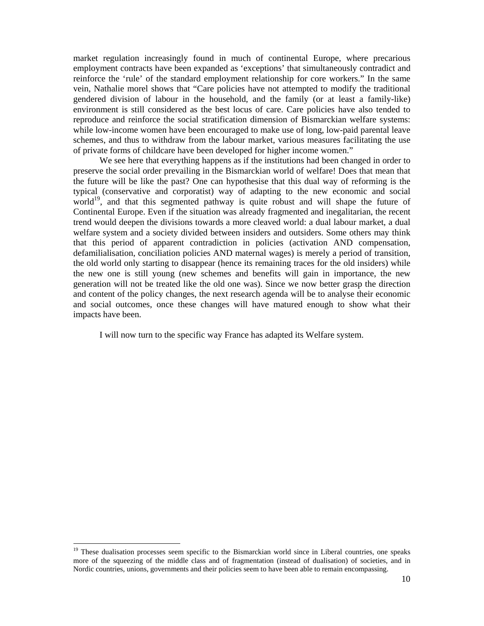market regulation increasingly found in much of continental Europe, where precarious employment contracts have been expanded as 'exceptions' that simultaneously contradict and reinforce the 'rule' of the standard employment relationship for core workers." In the same vein, Nathalie morel shows that "Care policies have not attempted to modify the traditional gendered division of labour in the household, and the family (or at least a family-like) environment is still considered as the best locus of care. Care policies have also tended to reproduce and reinforce the social stratification dimension of Bismarckian welfare systems: while low-income women have been encouraged to make use of long, low-paid parental leave schemes, and thus to withdraw from the labour market, various measures facilitating the use of private forms of childcare have been developed for higher income women."

We see here that everything happens as if the institutions had been changed in order to preserve the social order prevailing in the Bismarckian world of welfare! Does that mean that the future will be like the past? One can hypothesise that this dual way of reforming is the typical (conservative and corporatist) way of adapting to the new economic and social world<sup>19</sup>, and that this segmented pathway is quite robust and will shape the future of Continental Europe. Even if the situation was already fragmented and inegalitarian, the recent trend would deepen the divisions towards a more cleaved world: a dual labour market, a dual welfare system and a society divided between insiders and outsiders. Some others may think that this period of apparent contradiction in policies (activation AND compensation, defamilialisation, conciliation policies AND maternal wages) is merely a period of transition, the old world only starting to disappear (hence its remaining traces for the old insiders) while the new one is still young (new schemes and benefits will gain in importance, the new generation will not be treated like the old one was). Since we now better grasp the direction and content of the policy changes, the next research agenda will be to analyse their economic and social outcomes, once these changes will have matured enough to show what their impacts have been.

I will now turn to the specific way France has adapted its Welfare system.

<sup>&</sup>lt;sup>19</sup> These dualisation processes seem specific to the Bismarckian world since in Liberal countries, one speaks more of the squeezing of the middle class and of fragmentation (instead of dualisation) of societies, and in Nordic countries, unions, governments and their policies seem to have been able to remain encompassing.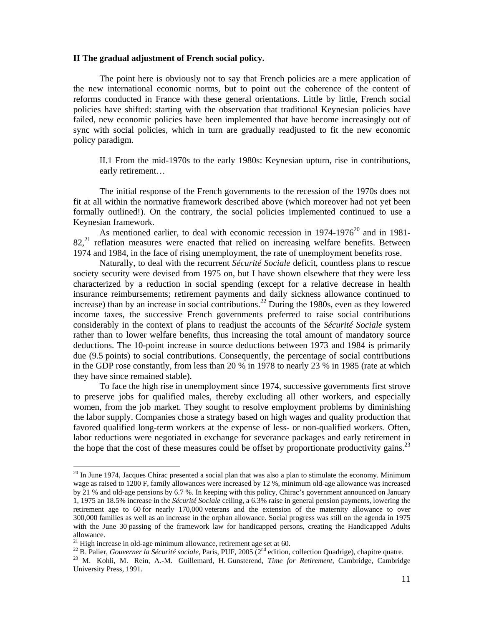#### **II The gradual adjustment of French social policy.**

The point here is obviously not to say that French policies are a mere application of the new international economic norms, but to point out the coherence of the content of reforms conducted in France with these general orientations. Little by little, French social policies have shifted: starting with the observation that traditional Keynesian policies have failed, new economic policies have been implemented that have become increasingly out of sync with social policies, which in turn are gradually readjusted to fit the new economic policy paradigm.

II.1 From the mid-1970s to the early 1980s: Keynesian upturn, rise in contributions, early retirement…

The initial response of the French governments to the recession of the 1970s does not fit at all within the normative framework described above (which moreover had not yet been formally outlined!). On the contrary, the social policies implemented continued to use a Keynesian framework.

As mentioned earlier, to deal with economic recession in  $1974-1976^{20}$  and in 1981- $82<sup>21</sup>$  reflation measures were enacted that relied on increasing welfare benefits. Between 1974 and 1984, in the face of rising unemployment, the rate of unemployment benefits rose.

Naturally, to deal with the recurrent *Sécurité Sociale* deficit, countless plans to rescue society security were devised from 1975 on, but I have shown elsewhere that they were less characterized by a reduction in social spending (except for a relative decrease in health insurance reimbursements; retirement payments and daily sickness allowance continued to increase) than by an increase in social contributions.<sup>22</sup> During the 1980s, even as they lowered income taxes, the successive French governments preferred to raise social contributions considerably in the context of plans to readjust the accounts of the *Sécurité Sociale* system rather than to lower welfare benefits, thus increasing the total amount of mandatory source deductions. The 10-point increase in source deductions between 1973 and 1984 is primarily due (9.5 points) to social contributions. Consequently, the percentage of social contributions in the GDP rose constantly, from less than 20 % in 1978 to nearly 23 % in 1985 (rate at which they have since remained stable).

To face the high rise in unemployment since 1974, successive governments first strove to preserve jobs for qualified males, thereby excluding all other workers, and especially women, from the job market. They sought to resolve employment problems by diminishing the labor supply. Companies chose a strategy based on high wages and quality production that favored qualified long-term workers at the expense of less- or non-qualified workers. Often, labor reductions were negotiated in exchange for severance packages and early retirement in the hope that the cost of these measures could be offset by proportionate productivity gains.<sup>23</sup>

 $20$  In June 1974, Jacques Chirac presented a social plan that was also a plan to stimulate the economy. Minimum wage as raised to 1200 F, family allowances were increased by 12 %, minimum old-age allowance was increased by 21 % and old-age pensions by 6.7 %. In keeping with this policy, Chirac's government announced on January 1, 1975 an 18.5% increase in the *Sécurité Sociale* ceiling, a 6.3% raise in general pension payments, lowering the retirement age to 60 for nearly 170,000 veterans and the extension of the maternity allowance to over 300,000 families as well as an increase in the orphan allowance. Social progress was still on the agenda in 1975 with the June 30 passing of the framework law for handicapped persons, creating the Handicapped Adults allowance.

 $21$  High increase in old-age minimum allowance, retirement age set at 60.

<sup>&</sup>lt;sup>22</sup> B. Palier, *Gouverner la Sécurité sociale*, Paris, PUF, 2005 ( $2^{nd}$  edition, collection Quadrige), chapitre quatre.<br><sup>23</sup> M. Kohli, M. Rein, A.-M. Guillemard, H. Gunsterend, *Time for Retirement*, Cambridge, Cambridg University Press, 1991.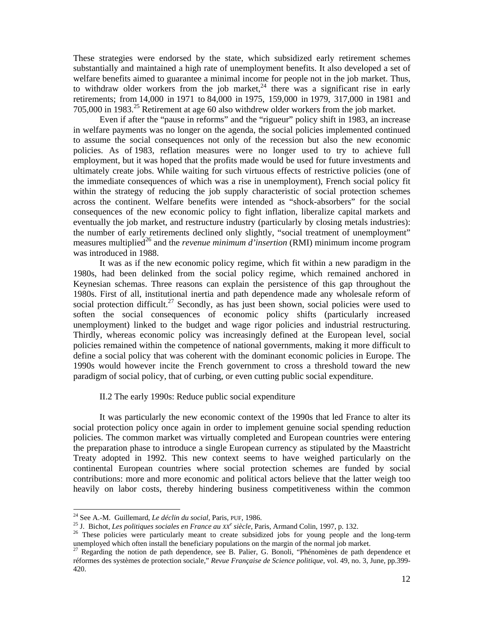These strategies were endorsed by the state, which subsidized early retirement schemes substantially and maintained a high rate of unemployment benefits. It also developed a set of welfare benefits aimed to guarantee a minimal income for people not in the job market. Thus, to withdraw older workers from the job market, $^{24}$  there was a significant rise in early retirements; from 14,000 in 1971 to 84,000 in 1975, 159,000 in 1979, 317,000 in 1981 and 705,000 in 1983.<sup>25</sup> Retirement at age 60 also withdrew older workers from the job market.

Even if after the "pause in reforms" and the "rigueur" policy shift in 1983, an increase in welfare payments was no longer on the agenda, the social policies implemented continued to assume the social consequences not only of the recession but also the new economic policies. As of 1983, reflation measures were no longer used to try to achieve full employment, but it was hoped that the profits made would be used for future investments and ultimately create jobs. While waiting for such virtuous effects of restrictive policies (one of the immediate consequences of which was a rise in unemployment), French social policy fit within the strategy of reducing the job supply characteristic of social protection schemes across the continent. Welfare benefits were intended as "shock-absorbers" for the social consequences of the new economic policy to fight inflation, liberalize capital markets and eventually the job market, and restructure industry (particularly by closing metals industries): the number of early retirements declined only slightly, "social treatment of unemployment" measures multiplied<sup>26</sup> and the *revenue minimum d'insertion* (RMI) minimum income program was introduced in 1988.

It was as if the new economic policy regime, which fit within a new paradigm in the 1980s, had been delinked from the social policy regime, which remained anchored in Keynesian schemas. Three reasons can explain the persistence of this gap throughout the 1980s. First of all, institutional inertia and path dependence made any wholesale reform of social protection difficult.<sup>27</sup> Secondly, as has just been shown, social policies were used to soften the social consequences of economic policy shifts (particularly increased unemployment) linked to the budget and wage rigor policies and industrial restructuring. Thirdly, whereas economic policy was increasingly defined at the European level, social policies remained within the competence of national governments, making it more difficult to define a social policy that was coherent with the dominant economic policies in Europe. The 1990s would however incite the French government to cross a threshold toward the new paradigm of social policy, that of curbing, or even cutting public social expenditure.

#### II.2 The early 1990s: Reduce public social expenditure

It was particularly the new economic context of the 1990s that led France to alter its social protection policy once again in order to implement genuine social spending reduction policies. The common market was virtually completed and European countries were entering the preparation phase to introduce a single European currency as stipulated by the Maastricht Treaty adopted in 1992. This new context seems to have weighed particularly on the continental European countries where social protection schemes are funded by social contributions: more and more economic and political actors believe that the latter weigh too heavily on labor costs, thereby hindering business competitiveness within the common

<sup>&</sup>lt;sup>24</sup> See A.-M. Guillemard, *Le déclin du social*, Paris, PUF, 1986.

<sup>&</sup>lt;sup>25</sup> J. Bichot, *Les politiques sociales en France au XX<sup>e</sup> siècle*, Paris, Armand Colin, 1997, p. 132.

<sup>&</sup>lt;sup>26</sup> These policies were particularly meant to create subsidized jobs for young people and the long-term unemployed which often install the beneficiary populations on the margin of the normal job market.

<sup>&</sup>lt;sup>27</sup> Regarding the notion de path dependence, see B. Palier, G. Bonoli, "Phénomènes de path dependence et réformes des systèmes de protection sociale," *Revue Française de Science politique*, vol. 49, no. 3, June, pp.399- 420.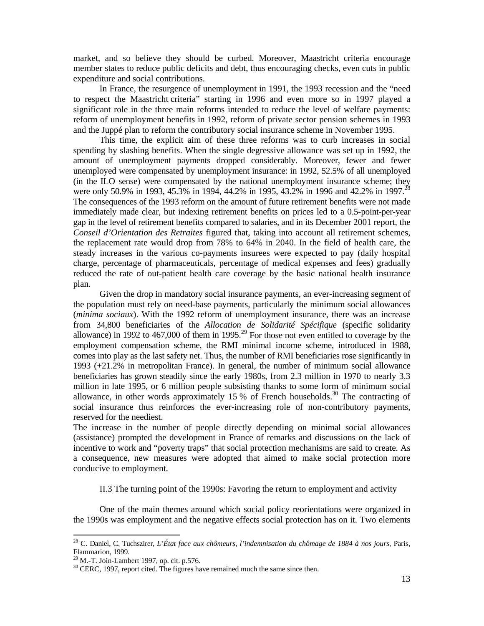market, and so believe they should be curbed. Moreover, Maastricht criteria encourage member states to reduce public deficits and debt, thus encouraging checks, even cuts in public expenditure and social contributions.

In France, the resurgence of unemployment in 1991, the 1993 recession and the "need to respect the Maastricht criteria" starting in 1996 and even more so in 1997 played a significant role in the three main reforms intended to reduce the level of welfare payments: reform of unemployment benefits in 1992, reform of private sector pension schemes in 1993 and the Juppé plan to reform the contributory social insurance scheme in November 1995.

This time, the explicit aim of these three reforms was to curb increases in social spending by slashing benefits. When the single degressive allowance was set up in 1992, the amount of unemployment payments dropped considerably. Moreover, fewer and fewer unemployed were compensated by unemployment insurance: in 1992, 52.5% of all unemployed (in the ILO sense) were compensated by the national unemployment insurance scheme; they were only 50.9% in 1993, 45.3% in 1994, 44.2% in 1995, 43.2% in 1996 and 42.2% in 1997.<sup>28</sup> The consequences of the 1993 reform on the amount of future retirement benefits were not made immediately made clear, but indexing retirement benefits on prices led to a 0.5-point-per-year gap in the level of retirement benefits compared to salaries, and in its December 2001 report, the *Conseil d'Orientation des Retraites* figured that, taking into account all retirement schemes, the replacement rate would drop from 78% to 64% in 2040. In the field of health care, the steady increases in the various co-payments insurees were expected to pay (daily hospital charge, percentage of pharmaceuticals, percentage of medical expenses and fees) gradually reduced the rate of out-patient health care coverage by the basic national health insurance plan.

Given the drop in mandatory social insurance payments, an ever-increasing segment of the population must rely on need-base payments, particularly the minimum social allowances (*minima sociaux*). With the 1992 reform of unemployment insurance, there was an increase from 34,800 beneficiaries of the *Allocation de Solidarité Spécifique* (specific solidarity allowance) in 1992 to 467,000 of them in 1995.<sup>29</sup> For those not even entitled to coverage by the employment compensation scheme, the RMI minimal income scheme, introduced in 1988, comes into play as the last safety net. Thus, the number of RMI beneficiaries rose significantly in 1993 (+21.2% in metropolitan France). In general, the number of minimum social allowance beneficiaries has grown steadily since the early 1980s, from 2.3 million in 1970 to nearly 3.3 million in late 1995, or 6 million people subsisting thanks to some form of minimum social allowance, in other words approximately 15 % of French households.<sup>30</sup> The contracting of social insurance thus reinforces the ever-increasing role of non-contributory payments, reserved for the neediest.

The increase in the number of people directly depending on minimal social allowances (assistance) prompted the development in France of remarks and discussions on the lack of incentive to work and "poverty traps" that social protection mechanisms are said to create. As a consequence, new measures were adopted that aimed to make social protection more conducive to employment.

II.3 The turning point of the 1990s: Favoring the return to employment and activity

One of the main themes around which social policy reorientations were organized in the 1990s was employment and the negative effects social protection has on it. Two elements

<sup>28</sup> C. Daniel, C. Tuchszirer, *L'État face aux chômeurs, l'indemnisation du chômage de 1884 à nos jours*, Paris, Flammarion, 1999.

 $^{29}$  M.-T. Join-Lambert 1997, op. cit. p.576.

<sup>&</sup>lt;sup>30</sup> CERC, 1997, report cited. The figures have remained much the same since then.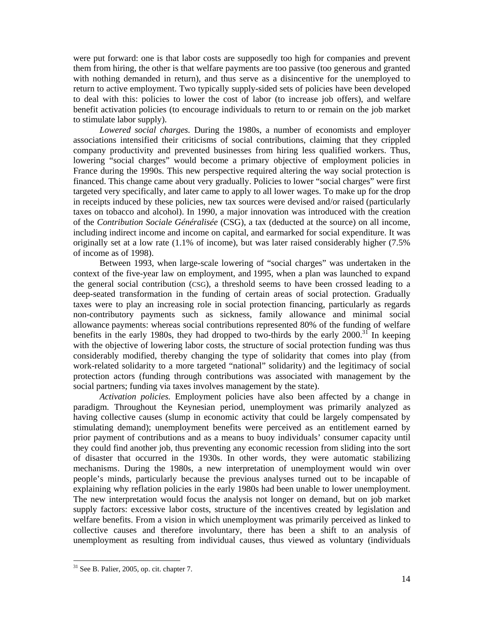were put forward: one is that labor costs are supposedly too high for companies and prevent them from hiring, the other is that welfare payments are too passive (too generous and granted with nothing demanded in return), and thus serve as a disincentive for the unemployed to return to active employment. Two typically supply-sided sets of policies have been developed to deal with this: policies to lower the cost of labor (to increase job offers), and welfare benefit activation policies (to encourage individuals to return to or remain on the job market to stimulate labor supply).

*Lowered social charges.* During the 1980s, a number of economists and employer associations intensified their criticisms of social contributions, claiming that they crippled company productivity and prevented businesses from hiring less qualified workers. Thus, lowering "social charges" would become a primary objective of employment policies in France during the 1990s. This new perspective required altering the way social protection is financed. This change came about very gradually. Policies to lower "social charges" were first targeted very specifically, and later came to apply to all lower wages. To make up for the drop in receipts induced by these policies, new tax sources were devised and/or raised (particularly taxes on tobacco and alcohol). In 1990, a major innovation was introduced with the creation of the *Contribution Sociale Généralisée* (CSG), a tax (deducted at the source) on all income, including indirect income and income on capital, and earmarked for social expenditure. It was originally set at a low rate (1.1% of income), but was later raised considerably higher (7.5% of income as of 1998).

Between 1993, when large-scale lowering of "social charges" was undertaken in the context of the five-year law on employment, and 1995, when a plan was launched to expand the general social contribution (CSG), a threshold seems to have been crossed leading to a deep-seated transformation in the funding of certain areas of social protection. Gradually taxes were to play an increasing role in social protection financing, particularly as regards non-contributory payments such as sickness, family allowance and minimal social allowance payments: whereas social contributions represented 80% of the funding of welfare benefits in the early 1980s, they had dropped to two-thirds by the early  $2000$ .<sup>31</sup> In keeping with the objective of lowering labor costs, the structure of social protection funding was thus considerably modified, thereby changing the type of solidarity that comes into play (from work-related solidarity to a more targeted "national" solidarity) and the legitimacy of social protection actors (funding through contributions was associated with management by the social partners; funding via taxes involves management by the state).

*Activation policies.* Employment policies have also been affected by a change in paradigm. Throughout the Keynesian period, unemployment was primarily analyzed as having collective causes (slump in economic activity that could be largely compensated by stimulating demand); unemployment benefits were perceived as an entitlement earned by prior payment of contributions and as a means to buoy individuals' consumer capacity until they could find another job, thus preventing any economic recession from sliding into the sort of disaster that occurred in the 1930s. In other words, they were automatic stabilizing mechanisms. During the 1980s, a new interpretation of unemployment would win over people's minds, particularly because the previous analyses turned out to be incapable of explaining why reflation policies in the early 1980s had been unable to lower unemployment. The new interpretation would focus the analysis not longer on demand, but on job market supply factors: excessive labor costs, structure of the incentives created by legislation and welfare benefits. From a vision in which unemployment was primarily perceived as linked to collective causes and therefore involuntary, there has been a shift to an analysis of unemployment as resulting from individual causes, thus viewed as voluntary (individuals

 $31$  See B. Palier, 2005, op. cit. chapter 7.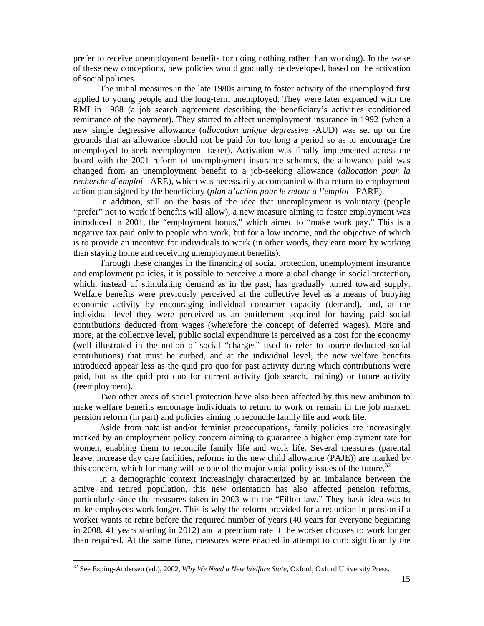prefer to receive unemployment benefits for doing nothing rather than working). In the wake of these new conceptions, new policies would gradually be developed, based on the activation of social policies.

The initial measures in the late 1980s aiming to foster activity of the unemployed first applied to young people and the long-term unemployed. They were later expanded with the RMI in 1988 (a job search agreement describing the beneficiary's activities conditioned remittance of the payment). They started to affect unemployment insurance in 1992 (when a new single degressive allowance (*allocation unique degressive -*AUD) was set up on the grounds that an allowance should not be paid for too long a period so as to encourage the unemployed to seek reemployment faster). Activation was finally implemented across the board with the 2001 reform of unemployment insurance schemes, the allowance paid was changed from an unemployment benefit to a job-seeking allowance (*allocation pour la recherche d'emploi* - ARE), which was necessarily accompanied with a return-to-employment action plan signed by the beneficiary (*plan d'action pour le retour à l'emploi* - PARE).

In addition, still on the basis of the idea that unemployment is voluntary (people "prefer" not to work if benefits will allow), a new measure aiming to foster employment was introduced in 2001, the "employment bonus," which aimed to "make work pay." This is a negative tax paid only to people who work, but for a low income, and the objective of which is to provide an incentive for individuals to work (in other words, they earn more by working than staying home and receiving unemployment benefits).

Through these changes in the financing of social protection, unemployment insurance and employment policies, it is possible to perceive a more global change in social protection, which, instead of stimulating demand as in the past, has gradually turned toward supply. Welfare benefits were previously perceived at the collective level as a means of buoying economic activity by encouraging individual consumer capacity (demand), and, at the individual level they were perceived as an entitlement acquired for having paid social contributions deducted from wages (wherefore the concept of deferred wages). More and more, at the collective level, public social expenditure is perceived as a cost for the economy (well illustrated in the notion of social "charges" used to refer to source-deducted social contributions) that must be curbed, and at the individual level, the new welfare benefits introduced appear less as the quid pro quo for past activity during which contributions were paid, but as the quid pro quo for current activity (job search, training) or future activity (reemployment).

Two other areas of social protection have also been affected by this new ambition to make welfare benefits encourage individuals to return to work or remain in the job market: pension reform (in part) and policies aiming to reconcile family life and work life.

Aside from natalist and/or feminist preoccupations, family policies are increasingly marked by an employment policy concern aiming to guarantee a higher employment rate for women, enabling them to reconcile family life and work life. Several measures (parental leave, increase day care facilities, reforms in the new child allowance (PAJE)) are marked by this concern, which for many will be one of the major social policy issues of the future.<sup>32</sup>

In a demographic context increasingly characterized by an imbalance between the active and retired population, this new orientation has also affected pension reforms, particularly since the measures taken in 2003 with the "Fillon law." They basic idea was to make employees work longer. This is why the reform provided for a reduction in pension if a worker wants to retire before the required number of years (40 years for everyone beginning in 2008, 41 years starting in 2012) and a premium rate if the worker chooses to work longer than required. At the same time, measures were enacted in attempt to curb significantly the

<sup>32</sup> See Esping-Andersen (ed.), 2002, *Why We Need a New Welfare State*, Oxford, Oxford University Press.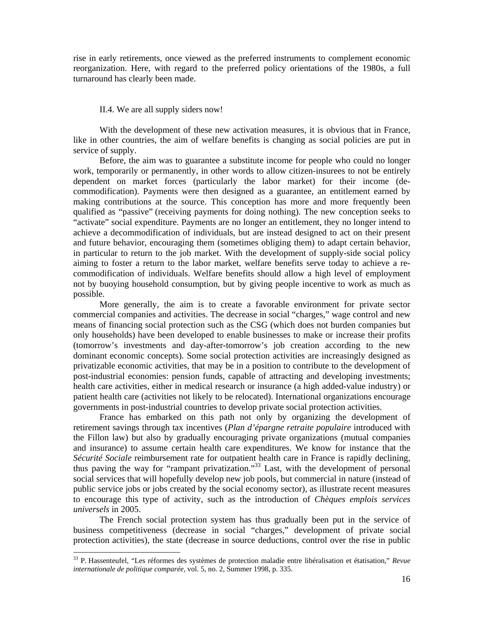rise in early retirements, once viewed as the preferred instruments to complement economic reorganization. Here, with regard to the preferred policy orientations of the 1980s, a full turnaround has clearly been made.

#### II.4. We are all supply siders now!

With the development of these new activation measures, it is obvious that in France, like in other countries, the aim of welfare benefits is changing as social policies are put in service of supply.

Before, the aim was to guarantee a substitute income for people who could no longer work, temporarily or permanently, in other words to allow citizen-insurees to not be entirely dependent on market forces (particularly the labor market) for their income (decommodification). Payments were then designed as a guarantee, an entitlement earned by making contributions at the source. This conception has more and more frequently been qualified as "passive" (receiving payments for doing nothing). The new conception seeks to "activate" social expenditure. Payments are no longer an entitlement, they no longer intend to achieve a decommodification of individuals, but are instead designed to act on their present and future behavior, encouraging them (sometimes obliging them) to adapt certain behavior, in particular to return to the job market. With the development of supply-side social policy aiming to foster a return to the labor market, welfare benefits serve today to achieve a recommodification of individuals. Welfare benefits should allow a high level of employment not by buoying household consumption, but by giving people incentive to work as much as possible.

More generally, the aim is to create a favorable environment for private sector commercial companies and activities. The decrease in social "charges," wage control and new means of financing social protection such as the CSG (which does not burden companies but only households) have been developed to enable businesses to make or increase their profits (tomorrow's investments and day-after-tomorrow's job creation according to the new dominant economic concepts). Some social protection activities are increasingly designed as privatizable economic activities, that may be in a position to contribute to the development of post-industrial economies: pension funds, capable of attracting and developing investments; health care activities, either in medical research or insurance (a high added-value industry) or patient health care (activities not likely to be relocated). International organizations encourage governments in post-industrial countries to develop private social protection activities.

France has embarked on this path not only by organizing the development of retirement savings through tax incentives (*Plan d'épargne retraite populaire* introduced with the Fillon law) but also by gradually encouraging private organizations (mutual companies and insurance) to assume certain health care expenditures. We know for instance that the *Sécurité Sociale* reimbursement rate for outpatient health care in France is rapidly declining, thus paving the way for "rampant privatization."<sup>33</sup> Last, with the development of personal social services that will hopefully develop new job pools, but commercial in nature (instead of public service jobs or jobs created by the social economy sector), as illustrate recent measures to encourage this type of activity, such as the introduction of *Chèques emplois services universels* in 2005.

The French social protection system has thus gradually been put in the service of business competitiveness (decrease in social "charges," development of private social protection activities), the state (decrease in source deductions, control over the rise in public

<sup>33</sup> P. Hassenteufel, "Les réformes des systèmes de protection maladie entre libéralisation et étatisation," *Revue internationale de politique comparée,* vol. 5, no. 2, Summer 1998, p. 335.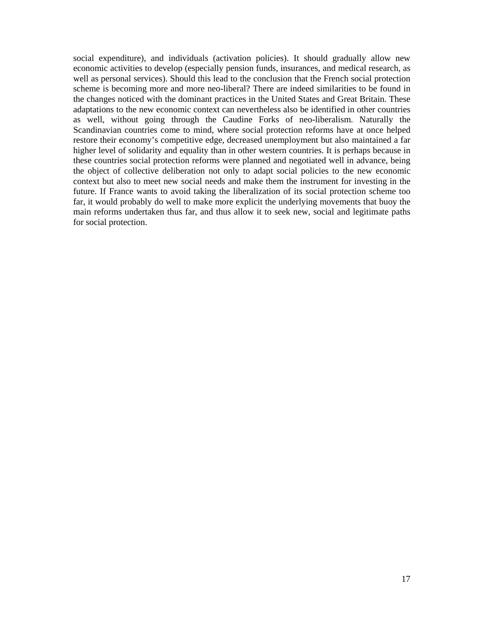social expenditure), and individuals (activation policies). It should gradually allow new economic activities to develop (especially pension funds, insurances, and medical research, as well as personal services). Should this lead to the conclusion that the French social protection scheme is becoming more and more neo-liberal? There are indeed similarities to be found in the changes noticed with the dominant practices in the United States and Great Britain. These adaptations to the new economic context can nevertheless also be identified in other countries as well, without going through the Caudine Forks of neo-liberalism. Naturally the Scandinavian countries come to mind, where social protection reforms have at once helped restore their economy's competitive edge, decreased unemployment but also maintained a far higher level of solidarity and equality than in other western countries. It is perhaps because in these countries social protection reforms were planned and negotiated well in advance, being the object of collective deliberation not only to adapt social policies to the new economic context but also to meet new social needs and make them the instrument for investing in the future. If France wants to avoid taking the liberalization of its social protection scheme too far, it would probably do well to make more explicit the underlying movements that buoy the main reforms undertaken thus far, and thus allow it to seek new, social and legitimate paths for social protection.